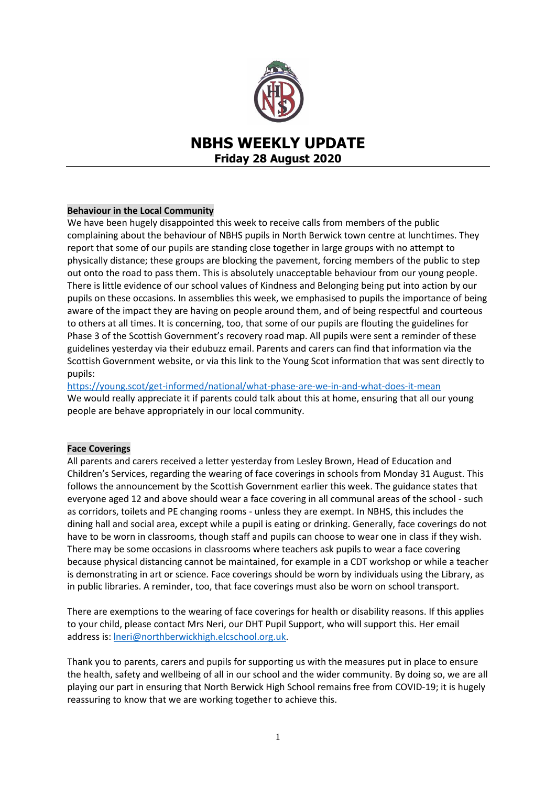

# **NBHS WEEKLY UPDATE Friday 28 August 2020**

# **Behaviour in the Local Community**

We have been hugely disappointed this week to receive calls from members of the public complaining about the behaviour of NBHS pupils in North Berwick town centre at lunchtimes. They report that some of our pupils are standing close together in large groups with no attempt to physically distance; these groups are blocking the pavement, forcing members of the public to step out onto the road to pass them. This is absolutely unacceptable behaviour from our young people. There is little evidence of our school values of Kindness and Belonging being put into action by our pupils on these occasions. In assemblies this week, we emphasised to pupils the importance of being aware of the impact they are having on people around them, and of being respectful and courteous to others at all times. It is concerning, too, that some of our pupils are flouting the guidelines for Phase 3 of the Scottish Government's recovery road map. All pupils were sent a reminder of these guidelines yesterday via their edubuzz email. Parents and carers can find that information via the Scottish Government website, or via this link to the Young Scot information that was sent directly to pupils:

<https://young.scot/get-informed/national/what-phase-are-we-in-and-what-does-it-mean> We would really appreciate it if parents could talk about this at home, ensuring that all our young people are behave appropriately in our local community.

## **Face Coverings**

All parents and carers received a letter yesterday from Lesley Brown, Head of Education and Children's Services, regarding the wearing of face coverings in schools from Monday 31 August. This follows the announcement by the Scottish Government earlier this week. The guidance states that everyone aged 12 and above should wear a face covering in all communal areas of the school - such as corridors, toilets and PE changing rooms - unless they are exempt. In NBHS, this includes the dining hall and social area, except while a pupil is eating or drinking. Generally, face coverings do not have to be worn in classrooms, though staff and pupils can choose to wear one in class if they wish. There may be some occasions in classrooms where teachers ask pupils to wear a face covering because physical distancing cannot be maintained, for example in a CDT workshop or while a teacher is demonstrating in art or science. Face coverings should be worn by individuals using the Library, as in public libraries. A reminder, too, that face coverings must also be worn on school transport.

There are exemptions to the wearing of face coverings for health or disability reasons. If this applies to your child, please contact Mrs Neri, our DHT Pupil Support, who will support this. Her email address is[: lneri@northberwickhigh.elcschool.org.uk.](mailto:lneri@northberwickhigh.elcschool.org.uk)

Thank you to parents, carers and pupils for supporting us with the measures put in place to ensure the health, safety and wellbeing of all in our school and the wider community. By doing so, we are all playing our part in ensuring that North Berwick High School remains free from COVID-19; it is hugely reassuring to know that we are working together to achieve this.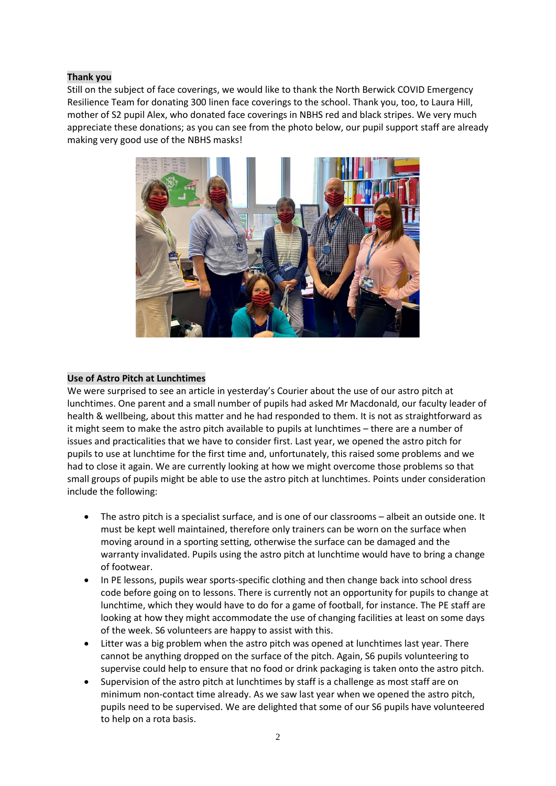## **Thank you**

Still on the subject of face coverings, we would like to thank the North Berwick COVID Emergency Resilience Team for donating 300 linen face coverings to the school. Thank you, too, to Laura Hill, mother of S2 pupil Alex, who donated face coverings in NBHS red and black stripes. We very much appreciate these donations; as you can see from the photo below, our pupil support staff are already making very good use of the NBHS masks!



#### **Use of Astro Pitch at Lunchtimes**

We were surprised to see an article in yesterday's Courier about the use of our astro pitch at lunchtimes. One parent and a small number of pupils had asked Mr Macdonald, our faculty leader of health & wellbeing, about this matter and he had responded to them. It is not as straightforward as it might seem to make the astro pitch available to pupils at lunchtimes – there are a number of issues and practicalities that we have to consider first. Last year, we opened the astro pitch for pupils to use at lunchtime for the first time and, unfortunately, this raised some problems and we had to close it again. We are currently looking at how we might overcome those problems so that small groups of pupils might be able to use the astro pitch at lunchtimes. Points under consideration include the following:

- The astro pitch is a specialist surface, and is one of our classrooms albeit an outside one. It must be kept well maintained, therefore only trainers can be worn on the surface when moving around in a sporting setting, otherwise the surface can be damaged and the warranty invalidated. Pupils using the astro pitch at lunchtime would have to bring a change of footwear.
- In PE lessons, pupils wear sports-specific clothing and then change back into school dress code before going on to lessons. There is currently not an opportunity for pupils to change at lunchtime, which they would have to do for a game of football, for instance. The PE staff are looking at how they might accommodate the use of changing facilities at least on some days of the week. S6 volunteers are happy to assist with this.
- Litter was a big problem when the astro pitch was opened at lunchtimes last year. There cannot be anything dropped on the surface of the pitch. Again, S6 pupils volunteering to supervise could help to ensure that no food or drink packaging is taken onto the astro pitch.
- Supervision of the astro pitch at lunchtimes by staff is a challenge as most staff are on minimum non-contact time already. As we saw last year when we opened the astro pitch, pupils need to be supervised. We are delighted that some of our S6 pupils have volunteered to help on a rota basis.